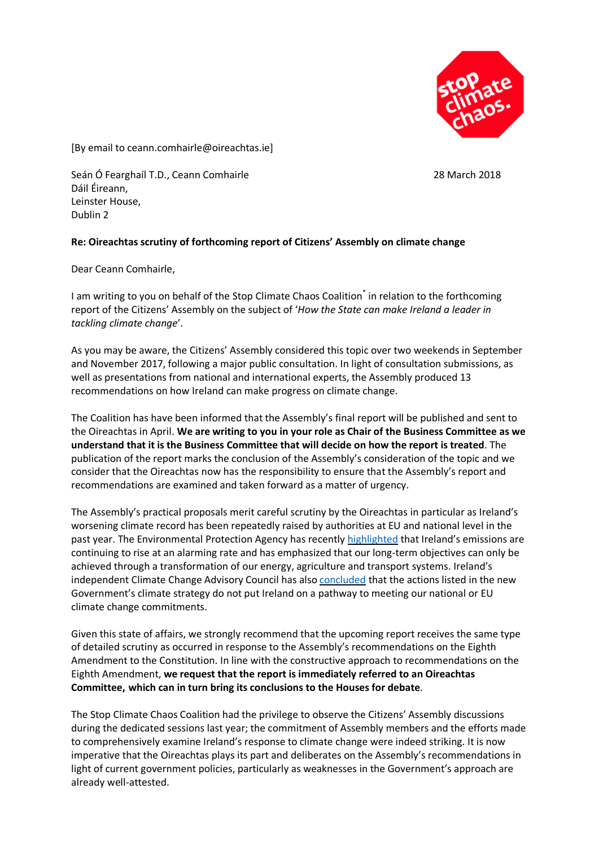

[By email to ceann.comhairle@oireachtas.ie]

Seán Ó Fearghaíl T.D., Ceann Comhairle 28 March 2018 Dáil Éireann, Leinster House, Dublin 2

## **Re: Oireachtas scrutiny of forthcoming report of Citizens' Assembly on climate change**

Dear Ceann Comhairle,

I am writing to you on behalf of the Stop Climate Chaos Coalition<sup>\*</sup> in relation to the forthcoming report of the Citizens' Assembly on the subject of '*How the State can make Ireland a leader in tackling climate change*'.

As you may be aware, the Citizens' Assembly considered this topic over two weekends in September and November 2017, following a major public consultation. In light of consultation submissions, as well as presentations from national and international experts, the Assembly produced 13 recommendations on how Ireland can make progress on climate change.

The Coalition has have been informed that the Assembly's final report will be published and sent to the Oireachtas in April. **We are writing to you in your role as Chair of the Business Committee as we understand that it is the Business Committee that will decide on how the report is treated**. The publication of the report marks the conclusion of the Assembly's consideration of the topic and we consider that the Oireachtas now has the responsibility to ensure that the Assembly's report and recommendations are examined and taken forward as a matter of urgency.

The Assembly's practical proposals merit careful scrutiny by the Oireachtas in particular as Ireland's worsening climate record has been repeatedly raised by authorities at EU and national level in the past year. The Environmental Protection Agency has recently [highlighted](http://www.epa.ie/newsandevents/news/pressreleases2017/name,63280,en.html) that Ireland's emissions are continuing to rise at an alarming rate and has emphasized that our long-term objectives can only be achieved through a transformation of our energy, agriculture and transport systems. Ireland's independent Climate Change Advisory Council has also [concluded](http://www.climatecouncil.ie/media/ClimateChangeAdvCouncil_AnnualReview2017FINAL.pdf) that the actions listed in the new Government's climate strategy do not put Ireland on a pathway to meeting our national or EU climate change commitments.

Given this state of affairs, we strongly recommend that the upcoming report receives the same type of detailed scrutiny as occurred in response to the Assembly's recommendations on the Eighth Amendment to the Constitution. In line with the constructive approach to recommendations on the Eighth Amendment, **we request that the report is immediately referred to an Oireachtas Committee, which can in turn bring its conclusions to the Houses for debate**.

The Stop Climate Chaos Coalition had the privilege to observe the Citizens' Assembly discussions during the dedicated sessions last year; the commitment of Assembly members and the efforts made to comprehensively examine Ireland's response to climate change were indeed striking. It is now imperative that the Oireachtas plays its part and deliberates on the Assembly's recommendations in light of current government policies, particularly as weaknesses in the Government's approach are already well-attested.